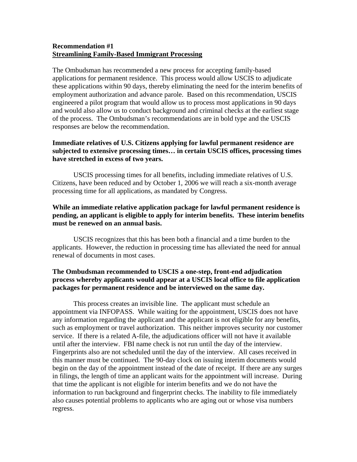### **Recommendation #1 Streamlining Family-Based Immigrant Processing**

The Ombudsman has recommended a new process for accepting family-based applications for permanent residence. This process would allow USCIS to adjudicate these applications within 90 days, thereby eliminating the need for the interim benefits of employment authorization and advance parole. Based on this recommendation, USCIS engineered a pilot program that would allow us to process most applications in 90 days and would also allow us to conduct background and criminal checks at the earliest stage of the process. The Ombudsman's recommendations are in bold type and the USCIS responses are below the recommendation.

### **Immediate relatives of U.S. Citizens applying for lawful permanent residence are subjected to extensive processing times… in certain USCIS offices, processing times have stretched in excess of two years.**

 USCIS processing times for all benefits, including immediate relatives of U.S. Citizens, have been reduced and by October 1, 2006 we will reach a six-month average processing time for all applications, as mandated by Congress.

# **While an immediate relative application package for lawful permanent residence is pending, an applicant is eligible to apply for interim benefits. These interim benefits must be renewed on an annual basis.**

 USCIS recognizes that this has been both a financial and a time burden to the applicants. However, the reduction in processing time has alleviated the need for annual renewal of documents in most cases.

# **The Ombudsman recommended to USCIS a one-step, front-end adjudication process whereby applicants would appear at a USCIS local office to file application packages for permanent residence and be interviewed on the same day.**

 This process creates an invisible line. The applicant must schedule an appointment via INFOPASS. While waiting for the appointment, USCIS does not have any information regarding the applicant and the applicant is not eligible for any benefits, such as employment or travel authorization. This neither improves security nor customer service. If there is a related A-file, the adjudications officer will not have it available until after the interview. FBI name check is not run until the day of the interview. Fingerprints also are not scheduled until the day of the interview. All cases received in this manner must be continued. The 90-day clock on issuing interim documents would begin on the day of the appointment instead of the date of receipt. If there are any surges in filings, the length of time an applicant waits for the appointment will increase. During that time the applicant is not eligible for interim benefits and we do not have the information to run background and fingerprint checks. The inability to file immediately also causes potential problems to applicants who are aging out or whose visa numbers regress.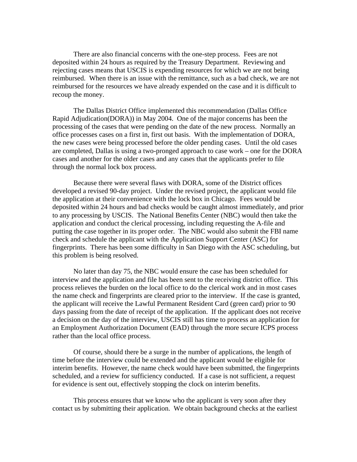There are also financial concerns with the one-step process. Fees are not deposited within 24 hours as required by the Treasury Department. Reviewing and rejecting cases means that USCIS is expending resources for which we are not being reimbursed. When there is an issue with the remittance, such as a bad check, we are not reimbursed for the resources we have already expended on the case and it is difficult to recoup the money.

 The Dallas District Office implemented this recommendation (Dallas Office Rapid Adjudication(DORA)) in May 2004. One of the major concerns has been the processing of the cases that were pending on the date of the new process. Normally an office processes cases on a first in, first out basis. With the implementation of DORA, the new cases were being processed before the older pending cases. Until the old cases are completed, Dallas is using a two-pronged approach to case work – one for the DORA cases and another for the older cases and any cases that the applicants prefer to file through the normal lock box process.

 Because there were several flaws with DORA, some of the District offices developed a revised 90-day project. Under the revised project, the applicant would file the application at their convenience with the lock box in Chicago. Fees would be deposited within 24 hours and bad checks would be caught almost immediately, and prior to any processing by USCIS. The National Benefits Center (NBC) would then take the application and conduct the clerical processing, including requesting the A-file and putting the case together in its proper order. The NBC would also submit the FBI name check and schedule the applicant with the Application Support Center (ASC) for fingerprints. There has been some difficulty in San Diego with the ASC scheduling, but this problem is being resolved.

No later than day 75, the NBC would ensure the case has been scheduled for interview and the application and file has been sent to the receiving district office. This process relieves the burden on the local office to do the clerical work and in most cases the name check and fingerprints are cleared prior to the interview. If the case is granted, the applicant will receive the Lawful Permanent Resident Card (green card) prior to 90 days passing from the date of receipt of the application. If the applicant does not receive a decision on the day of the interview, USCIS still has time to process an application for an Employment Authorization Document (EAD) through the more secure ICPS process rather than the local office process.

Of course, should there be a surge in the number of applications, the length of time before the interview could be extended and the applicant would be eligible for interim benefits. However, the name check would have been submitted, the fingerprints scheduled, and a review for sufficiency conducted. If a case is not sufficient, a request for evidence is sent out, effectively stopping the clock on interim benefits.

 This process ensures that we know who the applicant is very soon after they contact us by submitting their application. We obtain background checks at the earliest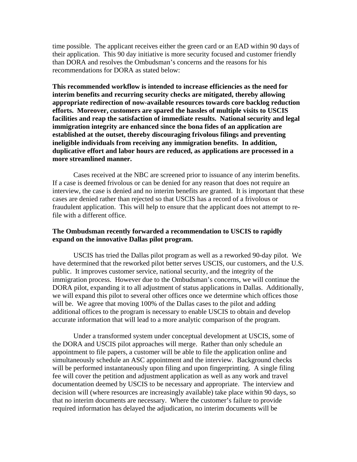time possible. The applicant receives either the green card or an EAD within 90 days of their application. This 90 day initiative is more security focused and customer friendly than DORA and resolves the Ombudsman's concerns and the reasons for his recommendations for DORA as stated below:

**This recommended workflow is intended to increase efficiencies as the need for interim benefits and recurring security checks are mitigated, thereby allowing appropriate redirection of now-available resources towards core backlog reduction efforts. Moreover, customers are spared the hassles of multiple visits to USCIS facilities and reap the satisfaction of immediate results. National security and legal immigration integrity are enhanced since the bona fides of an application are established at the outset, thereby discouraging frivolous filings and preventing ineligible individuals from receiving any immigration benefits. In addition, duplicative effort and labor hours are reduced, as applications are processed in a more streamlined manner.** 

Cases received at the NBC are screened prior to issuance of any interim benefits. If a case is deemed frivolous or can be denied for any reason that does not require an interview, the case is denied and no interim benefits are granted. It is important that these cases are denied rather than rejected so that USCIS has a record of a frivolous or fraudulent application. This will help to ensure that the applicant does not attempt to refile with a different office.

#### **The Ombudsman recently forwarded a recommendation to USCIS to rapidly expand on the innovative Dallas pilot program.**

USCIS has tried the Dallas pilot program as well as a reworked 90-day pilot. We have determined that the reworked pilot better serves USCIS, our customers, and the U.S. public. It improves customer service, national security, and the integrity of the immigration process. However due to the Ombudsman's concerns, we will continue the DORA pilot, expanding it to all adjustment of status applications in Dallas. Additionally, we will expand this pilot to several other offices once we determine which offices those will be. We agree that moving 100% of the Dallas cases to the pilot and adding additional offices to the program is necessary to enable USCIS to obtain and develop accurate information that will lead to a more analytic comparison of the program.

 Under a transformed system under conceptual development at USCIS, some of the DORA and USCIS pilot approaches will merge. Rather than only schedule an appointment to file papers, a customer will be able to file the application online and simultaneously schedule an ASC appointment and the interview. Background checks will be performed instantaneously upon filing and upon fingerprinting. A single filing fee will cover the petition and adjustment application as well as any work and travel documentation deemed by USCIS to be necessary and appropriate. The interview and decision will (where resources are increasingly available) take place within 90 days, so that no interim documents are necessary. Where the customer's failure to provide required information has delayed the adjudication, no interim documents will be